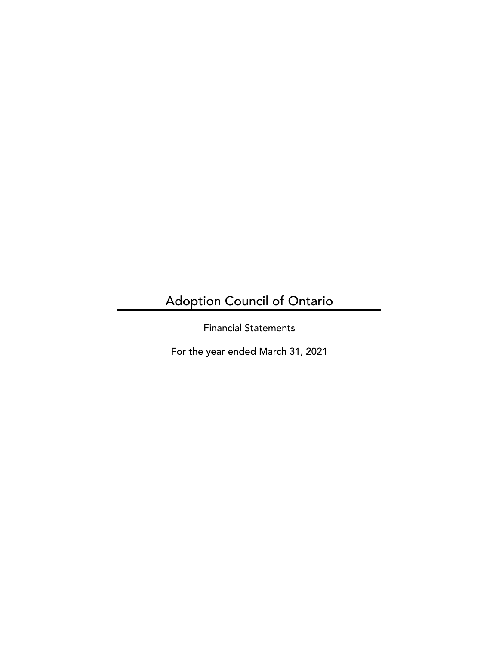# Adoption Council of Ontario

Financial Statements

For the year ended March 31, 2021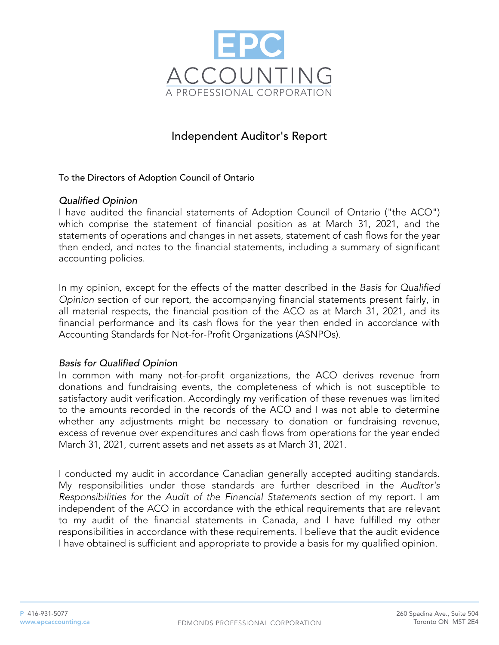

# Independent Auditor's Report

#### To the Directors of Adoption Council of Ontario

# Qualified Opinion

I have audited the financial statements of Adoption Council of Ontario ("the ACO") which comprise the statement of financial position as at March 31, 2021, and the statements of operations and changes in net assets, statement of cash flows for the year then ended, and notes to the financial statements, including a summary of significant accounting policies.

In my opinion, except for the effects of the matter described in the Basis for Qualified Opinion section of our report, the accompanying financial statements present fairly, in all material respects, the financial position of the ACO as at March 31, 2021, and its financial performance and its cash flows for the year then ended in accordance with Accounting Standards for Not-for-Profit Organizations (ASNPOs).

#### Basis for Qualified Opinion

In common with many not-for-profit organizations, the ACO derives revenue from donations and fundraising events, the completeness of which is not susceptible to satisfactory audit verification. Accordingly my verification of these revenues was limited to the amounts recorded in the records of the ACO and I was not able to determine whether any adjustments might be necessary to donation or fundraising revenue, excess of revenue over expenditures and cash flows from operations for the year ended March 31, 2021, current assets and net assets as at March 31, 2021.

I conducted my audit in accordance Canadian generally accepted auditing standards. My responsibilities under those standards are further described in the Auditor's Responsibilities for the Audit of the Financial Statements section of my report. I am independent of the ACO in accordance with the ethical requirements that are relevant to my audit of the financial statements in Canada, and I have fulfilled my other responsibilities in accordance with these requirements. I believe that the audit evidence I have obtained is sufficient and appropriate to provide a basis for my qualified opinion.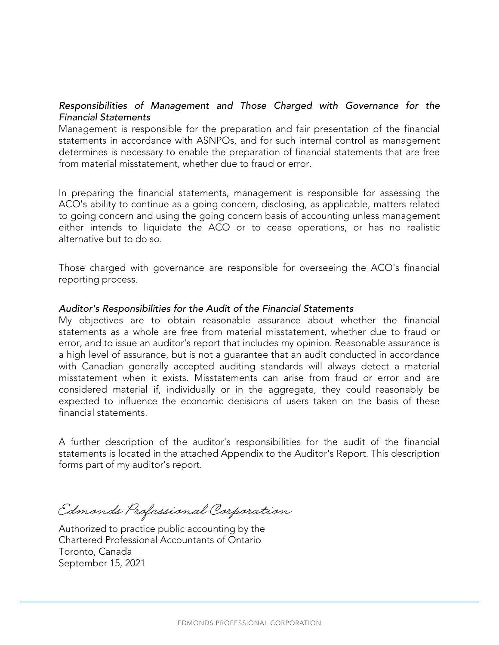## Responsibilities of Management and Those Charged with Governance for the Financial Statements

Management is responsible for the preparation and fair presentation of the financial statements in accordance with ASNPOs, and for such internal control as management determines is necessary to enable the preparation of financial statements that are free from material misstatement, whether due to fraud or error.

In preparing the financial statements, management is responsible for assessing the ACO's ability to continue as a going concern, disclosing, as applicable, matters related to going concern and using the going concern basis of accounting unless management either intends to liquidate the ACO or to cease operations, or has no realistic alternative but to do so.

Those charged with governance are responsible for overseeing the ACO's financial reporting process.

#### Auditor's Responsibilities for the Audit of the Financial Statements

My objectives are to obtain reasonable assurance about whether the financial statements as a whole are free from material misstatement, whether due to fraud or error, and to issue an auditor's report that includes my opinion. Reasonable assurance is a high level of assurance, but is not a guarantee that an audit conducted in accordance with Canadian generally accepted auditing standards will always detect a material misstatement when it exists. Misstatements can arise from fraud or error and are considered material if, individually or in the aggregate, they could reasonably be expected to influence the economic decisions of users taken on the basis of these financial statements.

A further description of the auditor's responsibilities for the audit of the financial statements is located in the attached Appendix to the Auditor's Report. This description forms part of my auditor's report.

**Edmonds Professional Corporation**

Authorized to practice public accounting by the Chartered Professional Accountants of Ontario Toronto, Canada September 15, 2021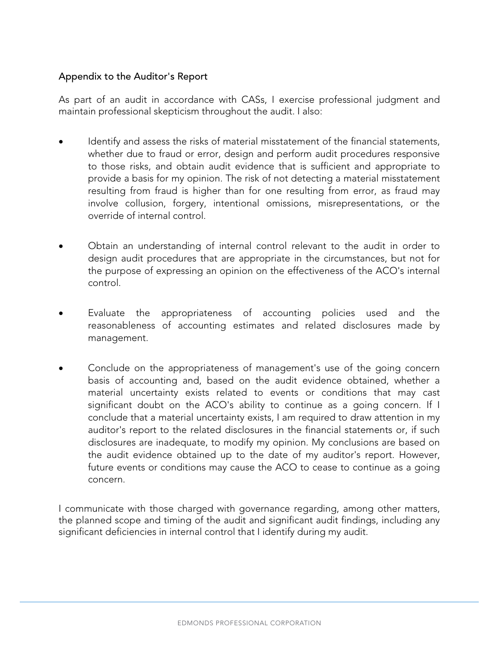# Appendix to the Auditor's Report

As part of an audit in accordance with CASs, I exercise professional judgment and maintain professional skepticism throughout the audit. I also:

- Identify and assess the risks of material misstatement of the financial statements, whether due to fraud or error, design and perform audit procedures responsive to those risks, and obtain audit evidence that is sufficient and appropriate to provide a basis for my opinion. The risk of not detecting a material misstatement resulting from fraud is higher than for one resulting from error, as fraud may involve collusion, forgery, intentional omissions, misrepresentations, or the override of internal control.
- Obtain an understanding of internal control relevant to the audit in order to design audit procedures that are appropriate in the circumstances, but not for the purpose of expressing an opinion on the effectiveness of the ACO's internal control.
- Evaluate the appropriateness of accounting policies used and the reasonableness of accounting estimates and related disclosures made by management.
- Conclude on the appropriateness of management's use of the going concern basis of accounting and, based on the audit evidence obtained, whether a material uncertainty exists related to events or conditions that may cast significant doubt on the ACO's ability to continue as a going concern. If I conclude that a material uncertainty exists, I am required to draw attention in my auditor's report to the related disclosures in the financial statements or, if such disclosures are inadequate, to modify my opinion. My conclusions are based on the audit evidence obtained up to the date of my auditor's report. However, future events or conditions may cause the ACO to cease to continue as a going concern.

I communicate with those charged with governance regarding, among other matters, the planned scope and timing of the audit and significant audit findings, including any significant deficiencies in internal control that I identify during my audit.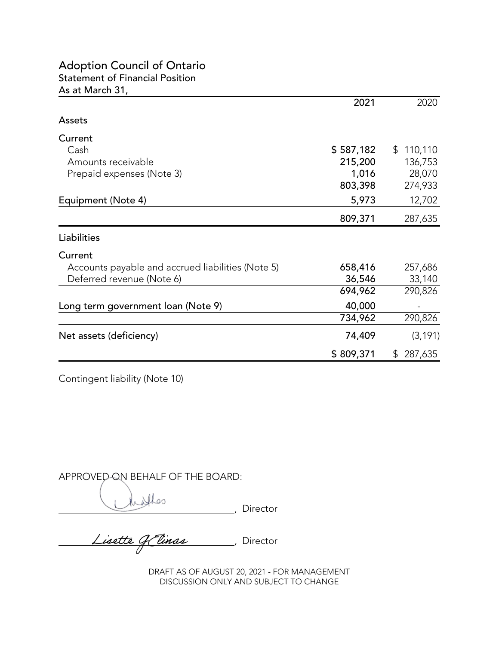# Adoption Council of Ontario Statement of Financial Position As at March 31,

|                                                   | 2021      | 2020          |
|---------------------------------------------------|-----------|---------------|
| <b>Assets</b>                                     |           |               |
| Current                                           |           |               |
| Cash                                              | \$587,182 | \$110,110     |
| Amounts receivable                                | 215,200   | 136,753       |
| Prepaid expenses (Note 3)                         | 1,016     | 28,070        |
|                                                   | 803,398   | 274,933       |
| Equipment (Note 4)                                | 5,973     | 12,702        |
|                                                   | 809,371   | 287,635       |
| Liabilities                                       |           |               |
| Current                                           |           |               |
| Accounts payable and accrued liabilities (Note 5) | 658,416   | 257,686       |
| Deferred revenue (Note 6)                         | 36,546    | 33,140        |
|                                                   | 694,962   | 290,826       |
| Long term government loan (Note 9)                | 40,000    |               |
|                                                   | 734,962   | 290,826       |
| Net assets (deficiency)                           | 74,409    | (3, 191)      |
|                                                   | \$809,371 | 287,635<br>S. |

Contingent liability (Note 10)

APPROVED ON BEHALF OF THE BOARD:

hathes

**Manuel**, Director

Lisette G Clinas (Director

DRAFT AS OF AUGUST 20, 2021 - FOR MANAGEMENT DISCUSSION ONLY AND SUBJECT TO CHANGE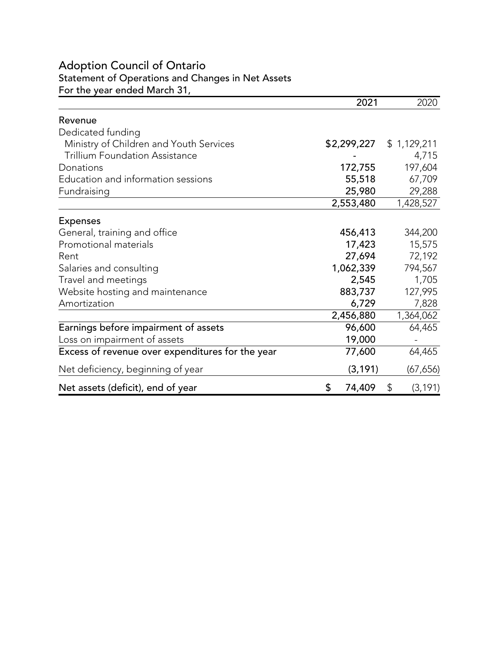# Adoption Council of Ontario

# Statement of Operations and Changes in Net Assets

For the year ended March 31,

|                                                  | 2021         | 2020           |
|--------------------------------------------------|--------------|----------------|
| Revenue                                          |              |                |
| Dedicated funding                                |              |                |
| Ministry of Children and Youth Services          | \$2,299,227  | \$1,129,211    |
| <b>Trillium Foundation Assistance</b>            |              | 4,715          |
| Donations                                        | 172,755      | 197,604        |
| Education and information sessions               | 55,518       | 67,709         |
| Fundraising                                      | 25,980       | 29,288         |
|                                                  | 2,553,480    | 1,428,527      |
| <b>Expenses</b>                                  |              |                |
| General, training and office                     | 456,413      | 344,200        |
| Promotional materials                            | 17,423       | 15,575         |
| Rent                                             | 27,694       | 72,192         |
| Salaries and consulting                          | 1,062,339    | 794,567        |
| Travel and meetings                              | 2,545        | 1,705          |
| Website hosting and maintenance                  | 883,737      | 127,995        |
| Amortization                                     | 6,729        | 7,828          |
|                                                  | 2,456,880    | 1,364,062      |
| Earnings before impairment of assets             | 96,600       | 64,465         |
| Loss on impairment of assets                     | 19,000       |                |
| Excess of revenue over expenditures for the year | 77,600       | 64,465         |
| Net deficiency, beginning of year                | (3, 191)     | (67, 656)      |
| Net assets (deficit), end of year                | \$<br>74,409 | (3, 191)<br>\$ |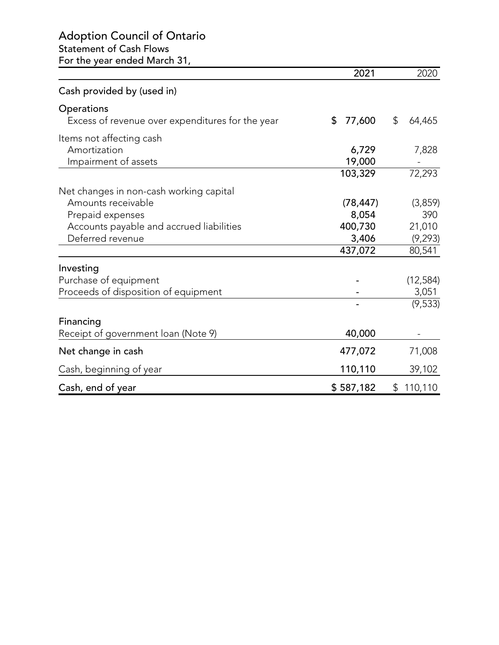# Adoption Council of Ontario Statement of Cash Flows For the year ended March 31,

|                                                                                                                                                                                                                                 | 2021                                              | 2020                                                                 |
|---------------------------------------------------------------------------------------------------------------------------------------------------------------------------------------------------------------------------------|---------------------------------------------------|----------------------------------------------------------------------|
| Cash provided by (used in)                                                                                                                                                                                                      |                                                   |                                                                      |
| Operations<br>Excess of revenue over expenditures for the year                                                                                                                                                                  | 77,600<br>\$                                      | \$<br>64,465                                                         |
| Items not affecting cash<br>Amortization<br>Impairment of assets                                                                                                                                                                | 6,729<br>19,000                                   | 7,828                                                                |
|                                                                                                                                                                                                                                 | 103,329                                           | 72,293                                                               |
| Net changes in non-cash working capital<br>Amounts receivable<br>Prepaid expenses<br>Accounts payable and accrued liabilities<br>Deferred revenue<br>Investing<br>Purchase of equipment<br>Proceeds of disposition of equipment | (78, 447)<br>8,054<br>400,730<br>3,406<br>437,072 | (3,859)<br>390<br>21,010<br>(9, 293)<br>80,541<br>(12, 584)<br>3,051 |
|                                                                                                                                                                                                                                 |                                                   | (9,533)                                                              |
| Financing<br>Receipt of government loan (Note 9)                                                                                                                                                                                | 40,000                                            |                                                                      |
| Net change in cash                                                                                                                                                                                                              | 477,072                                           | 71,008                                                               |
| Cash, beginning of year                                                                                                                                                                                                         | 110,110                                           | 39,102                                                               |
| Cash, end of year                                                                                                                                                                                                               | \$587,182                                         | 110,110<br>\$                                                        |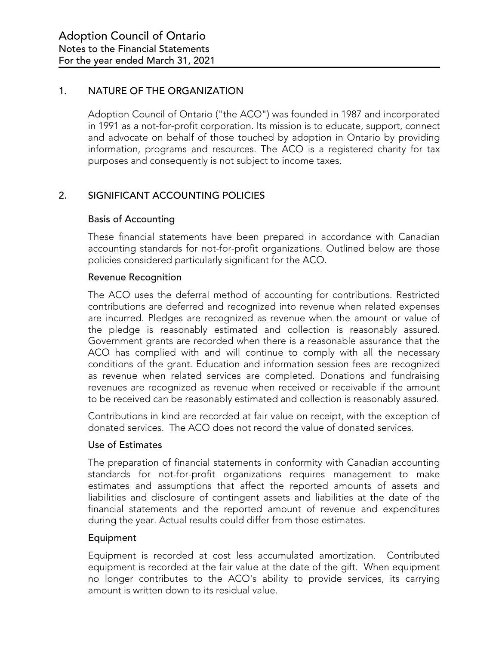# 1. NATURE OF THE ORGANIZATION

Adoption Council of Ontario ("the ACO") was founded in 1987 and incorporated in 1991 as a not-for-profit corporation. Its mission is to educate, support, connect and advocate on behalf of those touched by adoption in Ontario by providing information, programs and resources. The ACO is a registered charity for tax purposes and consequently is not subject to income taxes.

# 2. SIGNIFICANT ACCOUNTING POLICIES

#### Basis of Accounting

These financial statements have been prepared in accordance with Canadian accounting standards for not-for-profit organizations. Outlined below are those policies considered particularly significant for the ACO.

#### Revenue Recognition

The ACO uses the deferral method of accounting for contributions. Restricted contributions are deferred and recognized into revenue when related expenses are incurred. Pledges are recognized as revenue when the amount or value of the pledge is reasonably estimated and collection is reasonably assured. Government grants are recorded when there is a reasonable assurance that the ACO has complied with and will continue to comply with all the necessary conditions of the grant. Education and information session fees are recognized as revenue when related services are completed. Donations and fundraising revenues are recognized as revenue when received or receivable if the amount to be received can be reasonably estimated and collection is reasonably assured.

Contributions in kind are recorded at fair value on receipt, with the exception of donated services. The ACO does not record the value of donated services.

#### Use of Estimates

The preparation of financial statements in conformity with Canadian accounting standards for not-for-profit organizations requires management to make estimates and assumptions that affect the reported amounts of assets and liabilities and disclosure of contingent assets and liabilities at the date of the financial statements and the reported amount of revenue and expenditures during the year. Actual results could differ from those estimates.

#### Equipment

Equipment is recorded at cost less accumulated amortization. Contributed equipment is recorded at the fair value at the date of the gift. When equipment no longer contributes to the ACO's ability to provide services, its carrying amount is written down to its residual value.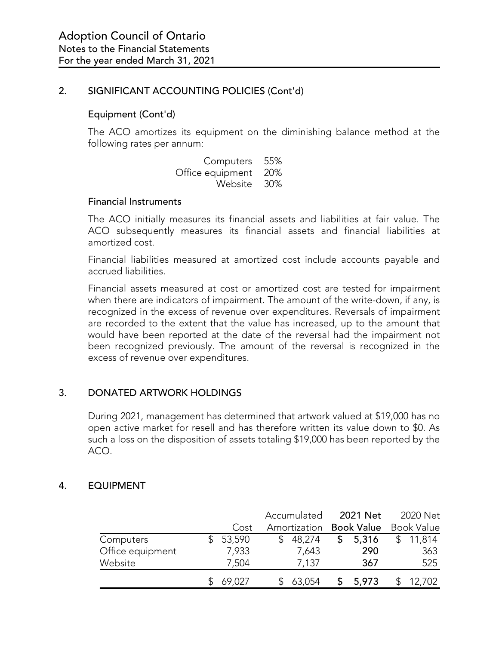# 2. SIGNIFICANT ACCOUNTING POLICIES (Cont'd)

# Equipment (Cont'd)

The ACO amortizes its equipment on the diminishing balance method at the following rates per annum:

> Computers 55% Office equipment 20% Website 30%

#### Financial Instruments

The ACO initially measures its financial assets and liabilities at fair value. The ACO subsequently measures its financial assets and financial liabilities at amortized cost.

Financial liabilities measured at amortized cost include accounts payable and accrued liabilities.

Financial assets measured at cost or amortized cost are tested for impairment when there are indicators of impairment. The amount of the write-down, if any, is recognized in the excess of revenue over expenditures. Reversals of impairment are recorded to the extent that the value has increased, up to the amount that would have been reported at the date of the reversal had the impairment not been recognized previously. The amount of the reversal is recognized in the excess of revenue over expenditures.

#### 3. DONATED ARTWORK HOLDINGS

During 2021, management has determined that artwork valued at \$19,000 has no open active market for resell and has therefore written its value down to \$0. As such a loss on the disposition of assets totaling \$19,000 has been reported by the ACO.

#### 4. EQUIPMENT

|                  |        | Accumulated |              |    | 2021 Net          | 2020 Net          |
|------------------|--------|-------------|--------------|----|-------------------|-------------------|
|                  | Cost   |             | Amortization |    | <b>Book Value</b> | <b>Book Value</b> |
| Computers        | 53,590 | \$          | 48,274       | \$ | 5,316             | \$11,814          |
| Office equipment | 7,933  |             | 7,643        |    | 290               | 363               |
| Website          | 7,504  |             | 7,137        |    | 367               | 525               |
|                  | 69,027 |             | \$63,054     |    | 5,973             | 12,702            |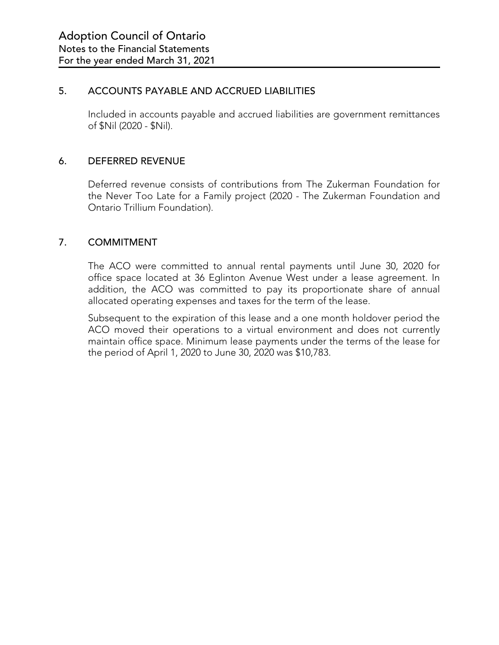## 5. ACCOUNTS PAYABLE AND ACCRUED LIABILITIES

Included in accounts payable and accrued liabilities are government remittances of \$Nil (2020 - \$Nil).

# 6. DEFERRED REVENUE

Deferred revenue consists of contributions from The Zukerman Foundation for the Never Too Late for a Family project (2020 - The Zukerman Foundation and Ontario Trillium Foundation).

# 7. COMMITMENT

The ACO were committed to annual rental payments until June 30, 2020 for office space located at 36 Eglinton Avenue West under a lease agreement. In addition, the ACO was committed to pay its proportionate share of annual allocated operating expenses and taxes for the term of the lease.

Subsequent to the expiration of this lease and a one month holdover period the ACO moved their operations to a virtual environment and does not currently maintain office space. Minimum lease payments under the terms of the lease for the period of April 1, 2020 to June 30, 2020 was \$10,783.